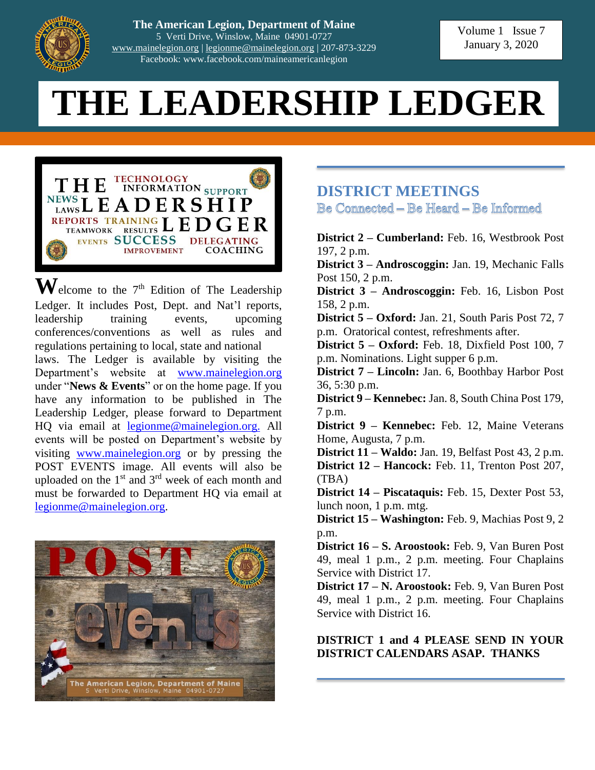

**The American Legion, Department of Maine** 5 Verti Drive, Winslow, Maine 04901-0727 [www.mainelegion.org](http://www.mainelegion.org/) | [legionme@mainelegion.org](mailto:legionme@mainelegion.org) | 207-873-3229 Facebook: www.facebook.com/maineamericanlegion

Volume 1 Issue 7 January 3, 2020

# **THE LEADERSHIP LEDGER**



 $\mathbf{W}$ elcome to the 7<sup>th</sup> Edition of The Leadership Ledger. It includes Post, Dept. and Nat'l reports, leadership training events, upcoming conferences/conventions as well as rules and regulations pertaining to local, state and national laws. The Ledger is available by visiting the Department's website at [www.mainelegion.org](http://www.mainelegion.org/) under "**News & Events**" or on the home page. If you have any information to be published in The Leadership Ledger, please forward to Department HQ via email at [legionme@mainelegion.org.](mailto:legionme@mainelegion.org) All events will be posted on Department's website by visiting [www.mainelegion.org](http://www.mainelegion.org/) or by pressing the POST EVENTS image. All events will also be uploaded on the  $1<sup>st</sup>$  and  $3<sup>rd</sup>$  week of each month and must be forwarded to Department HQ via email at [legionme@mainelegion.org.](mailto:legionme@mainelegion.org)



#### **DISTRICT MEETINGS** Be Connected – Be Heard – Be Informed

**District 2 – Cumberland:** Feb. 16, Westbrook Post 197, 2 p.m.

**District 3 – Androscoggin:** Jan. 19, Mechanic Falls Post 150, 2 p.m.

**District 3 – Androscoggin:** Feb. 16, Lisbon Post 158, 2 p.m.

**District 5 – Oxford:** Jan. 21, South Paris Post 72, 7 p.m. Oratorical contest, refreshments after.

**District 5 – Oxford:** Feb. 18, Dixfield Post 100, 7 p.m. Nominations. Light supper 6 p.m.

**District 7 – Lincoln:** Jan. 6, Boothbay Harbor Post 36, 5:30 p.m.

**District 9 – Kennebec:** Jan. 8, South China Post 179, 7 p.m.

**District 9 – Kennebec:** Feb. 12, Maine Veterans Home, Augusta, 7 p.m.

**District 11 – Waldo:** Jan. 19, Belfast Post 43, 2 p.m. **District 12 – Hancock:** Feb. 11, Trenton Post 207, (TBA)

**District 14 – Piscataquis:** Feb. 15, Dexter Post 53, lunch noon, 1 p.m. mtg.

**District 15 – Washington:** Feb. 9, Machias Post 9, 2 p.m.

**District 16 – S. Aroostook:** Feb. 9, Van Buren Post 49, meal 1 p.m., 2 p.m. meeting. Four Chaplains Service with District 17.

**District 17 – N. Aroostook:** Feb. 9, Van Buren Post 49, meal 1 p.m., 2 p.m. meeting. Four Chaplains Service with District 16.

**DISTRICT 1 and 4 PLEASE SEND IN YOUR DISTRICT CALENDARS ASAP. THANKS**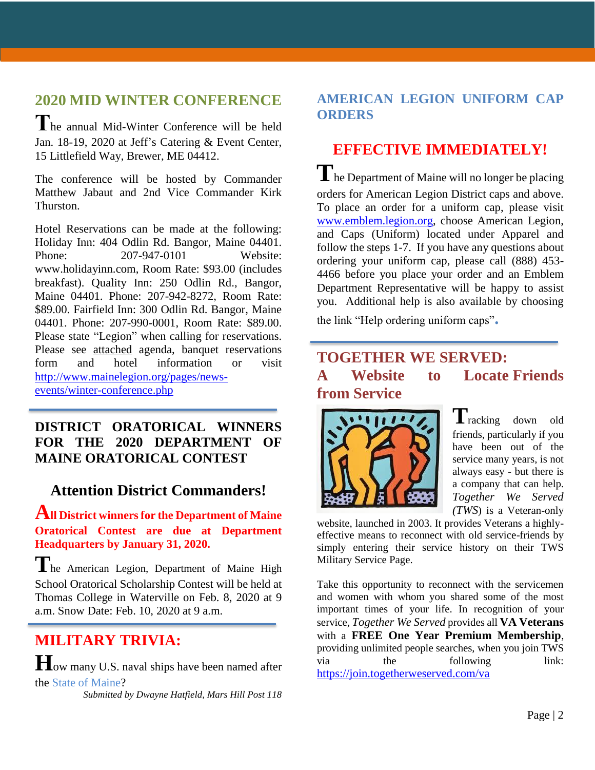# **2020 MID WINTER CONFERENCE T**he annual Mid-Winter Conference will be held

Jan. 18-19, 2020 at Jeff's Catering & Event Center, 15 Littlefield Way, Brewer, ME 04412.

The conference will be hosted by Commander Matthew Jabaut and 2nd Vice Commander Kirk Thurston.

Hotel Reservations can be made at the following: Holiday Inn: 404 Odlin Rd. Bangor, Maine 04401. Phone: 207-947-0101 Website: www.holidayinn.com, Room Rate: \$93.00 (includes breakfast). Quality Inn: 250 Odlin Rd., Bangor, Maine 04401. Phone: 207-942-8272, Room Rate: \$89.00. Fairfield Inn: 300 Odlin Rd. Bangor, Maine 04401. Phone: 207-990-0001, Room Rate: \$89.00. Please state "Legion" when calling for reservations. Please see **attached** agenda, banquet reservations form and hotel information or visit [http://www.mainelegion.org/pages/news](http://www.mainelegion.org/pages/news-events/winter-conference.php)[events/winter-conference.php](http://www.mainelegion.org/pages/news-events/winter-conference.php)

#### **DISTRICT ORATORICAL WINNERS FOR THE 2020 DEPARTMENT OF MAINE ORATORICAL CONTEST**

#### **Attention District Commanders!**

**All District winners for the Department of Maine Oratorical Contest are due at Department Headquarters by January 31, 2020.** 

**T**he American Legion, Department of Maine High School Oratorical Scholarship Contest will be held at Thomas College in Waterville on Feb. 8, 2020 at 9 a.m. Snow Date: Feb. 10, 2020 at 9 a.m.

### **MILITARY TRIVIA:**

**H**ow many U.S. naval ships have been named after the State of Maine? *Submitted by Dwayne Hatfield, Mars Hill Post 118*

#### **AMERICAN LEGION UNIFORM CAP ORDERS**

#### **EFFECTIVE IMMEDIATELY!**

**T**he Department of Maine will no longer be placing orders for American Legion District caps and above. To place an order for a uniform cap, please visit [www.emblem.legion.org,](http://www.emblem.legion.org/) choose American Legion, and Caps (Uniform) located under Apparel and follow the steps 1-7. If you have any questions about ordering your uniform cap, please call (888) 453- 4466 before you place your order and an Emblem Department Representative will be happy to assist you. Additional help is also available by choosing

the link "Help ordering uniform caps"**.**

#### **TOGETHER WE SERVED: A Website to Locate Friends from Service**



**T**racking down old friends, particularly if you have been out of the service many years, is not always easy - but there is a company that can help. *Together We Served (TWS*) is a Veteran-only

website, launched in 2003. It provides Veterans a highlyeffective means to reconnect with old service-friends by simply entering their service history on their TWS Military Service Page.

Take this opportunity to reconnect with the servicemen and women with whom you shared some of the most important times of your life. In recognition of your service, *Together We Served* provides all **VA Veterans** with a **FREE One Year Premium Membership**, providing unlimited people searches, when you join TWS via the following link: <https://join.togetherweserved.com/va>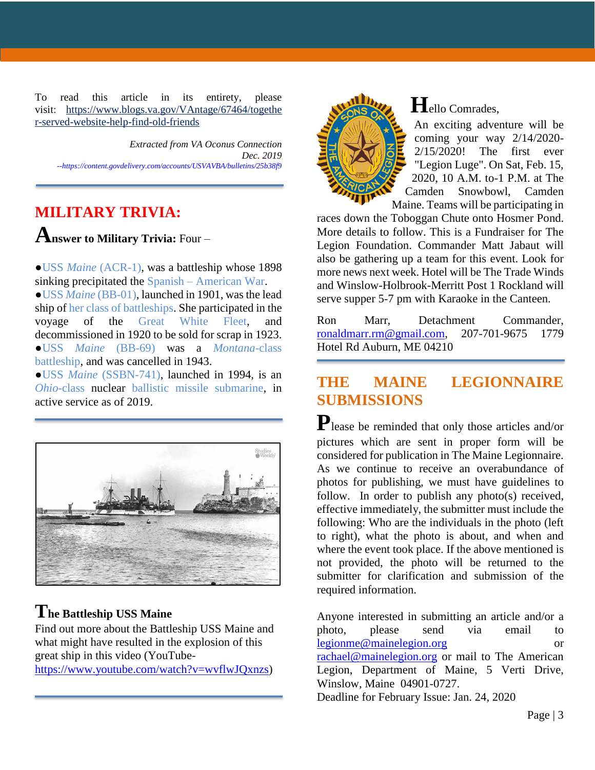To read this article in its entirety, please visit: [https://www.blogs.va.gov/VAntage/67464/togethe](https://www.blogs.va.gov/VAntage/67464/together-served-website-help-find-old-friends) [r-served-website-help-find-old-friends](https://www.blogs.va.gov/VAntage/67464/together-served-website-help-find-old-friends)

*Extracted from VA Oconus Connection Dec. 2019 -[-https://content.govdelivery.com/accounts/USVAVBA/bulletins/25b38f9](https://content.govdelivery.com/accounts/USVAVBA/bulletins/25b38f9)*

### **MILITARY TRIVIA:**

#### **Answer to Military Trivia:** Four –

●USS *Maine* (ACR-1), was a battleship whose 1898 sinking precipitated the Spanish – American War. ●USS *Maine* (BB-01), launched in 1901, was the lead ship of her class of battleships. She participated in the voyage of the Great White Fleet, and decommissioned in 1920 to be sold for scrap in 1923. ●USS *Maine* (BB-69) was a *Montana*-class battleship, and was cancelled in 1943.

●USS *Maine* (SSBN-741), launched in 1994, is an *Ohio*-class nuclear ballistic missile submarine, in active service as of 2019.



## **The Battleship USS Maine**

Find out more about the Battleship USS Maine and what might have resulted in the explosion of this great ship in this video (YouTube[https://www.youtube.com/watch?v=wvflwJQxnzs\)](https://www.youtube.com/watch?v=wvflwJQxnzs)



## **H**ello Comrades,

An exciting adventure will be coming your way 2/14/2020- 2/15/2020! The first ever "Legion Luge". On Sat, Feb. 15, 2020, 10 A.M. to-1 P.M. at The Camden Snowbowl, Camden Maine. Teams will be participating in

races down the Toboggan Chute onto Hosmer Pond. More details to follow. This is a Fundraiser for The Legion Foundation. Commander Matt Jabaut will also be gathering up a team for this event. Look for more news next week. Hotel will be The Trade Winds and Winslow-Holbrook-Merritt Post 1 Rockland will serve supper 5-7 pm with Karaoke in the Canteen.

Ron Marr, Detachment Commander, [ronaldmarr.rm@gmail.com,](mailto:ronaldmarr.rm@gmail.com) 207-701-9675 1779 Hotel Rd Auburn, ME 04210

## **THE MAINE LEGIONNAIRE SUBMISSIONS**

**P**lease be reminded that only those articles and/or pictures which are sent in proper form will be considered for publication in The Maine Legionnaire. As we continue to receive an overabundance of photos for publishing, we must have guidelines to follow. In order to publish any photo(s) received, effective immediately, the submitter must include the following: Who are the individuals in the photo (left to right), what the photo is about, and when and where the event took place. If the above mentioned is not provided, the photo will be returned to the submitter for clarification and submission of the required information.

Anyone interested in submitting an article and/or a photo, please send via email to [legionme@mainelegion.org](mailto:legionme@mainelegion.org) or [rachael@mainelegion.org](mailto:rachael@mainelegion.org) or mail to The American Legion, Department of Maine, 5 Verti Drive, Winslow, Maine 04901-0727. Deadline for February Issue: Jan. 24, 2020